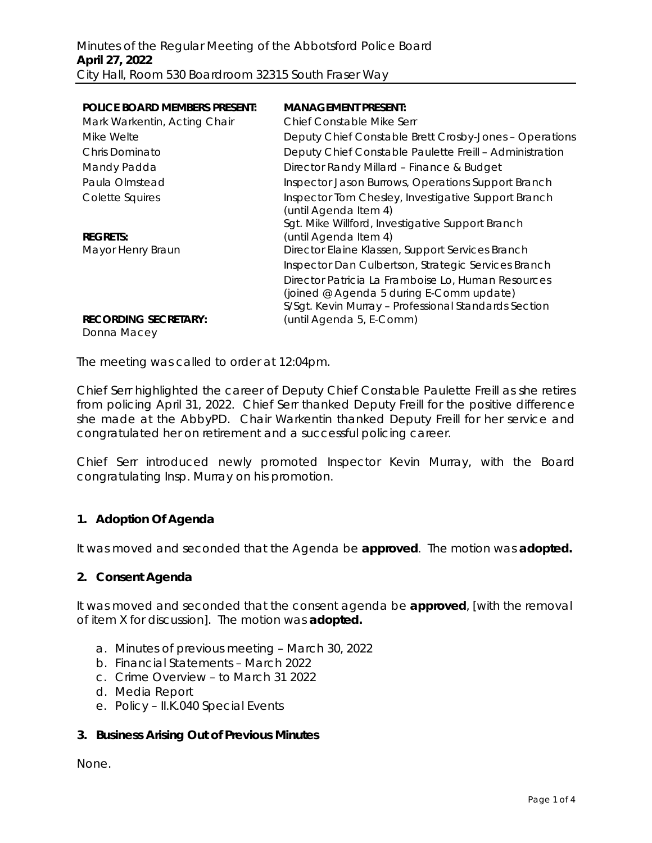| <b>POLICE BOARD MEMBERS PRESENT:</b>       | <b>MANAGEMENT PRESENT:</b>                                                                                                                             |
|--------------------------------------------|--------------------------------------------------------------------------------------------------------------------------------------------------------|
| Mark Warkentin, Acting Chair               | <b>Chief Constable Mike Serr</b>                                                                                                                       |
| Mike Welte                                 | Deputy Chief Constable Brett Crosby-Jones - Operations                                                                                                 |
| Chris Dominato                             | Deputy Chief Constable Paulette Freill - Administration                                                                                                |
| Mandy Padda                                | Director Randy Millard - Finance & Budget                                                                                                              |
| Paula Olmstead                             | Inspector Jason Burrows, Operations Support Branch                                                                                                     |
| Colette Squires                            | Inspector Tom Chesley, Investigative Support Branch<br>(until Agenda Item 4)                                                                           |
| <b>REGRETS:</b>                            | Sgt. Mike Willford, Investigative Support Branch<br>(until Agenda Item 4)                                                                              |
| Mayor Henry Braun                          | Director Elaine Klassen, Support Services Branch                                                                                                       |
|                                            | Inspector Dan Culbertson, Strategic Services Branch                                                                                                    |
|                                            | Director Patricia La Framboise Lo, Human Resources<br>(joined @ Agenda 5 during E-Comm update)<br>S/Sgt. Kevin Murray - Professional Standards Section |
| <b>RECORDING SECRETARY:</b><br>Donna Macey | (until Agenda 5, E-Comm)                                                                                                                               |

The meeting was called to order at 12:04pm.

Chief Serr highlighted the career of Deputy Chief Constable Paulette Freill as she retires from policing April 31, 2022. Chief Serr thanked Deputy Freill for the positive difference she made at the AbbyPD. Chair Warkentin thanked Deputy Freill for her service and congratulated her on retirement and a successful policing career.

Chief Serr introduced newly promoted Inspector Kevin Murray, with the Board congratulating Insp. Murray on his promotion.

## **1. Adoption Of Agenda**

It was moved and seconded that the Agenda be **approved**.The motion was **adopted.**

## **2. Consent Agenda**

It was moved and seconded that the consent agenda be **approved**, [with the removal of item X for discussion].The motion was **adopted.**

- a. Minutes of previous meeting March 30, 2022
- b. Financial Statements March 2022
- c. Crime Overview to March 31 2022
- d. Media Report
- e. Policy II.K.040 Special Events

### **3. Business Arising Out of Previous Minutes**

None.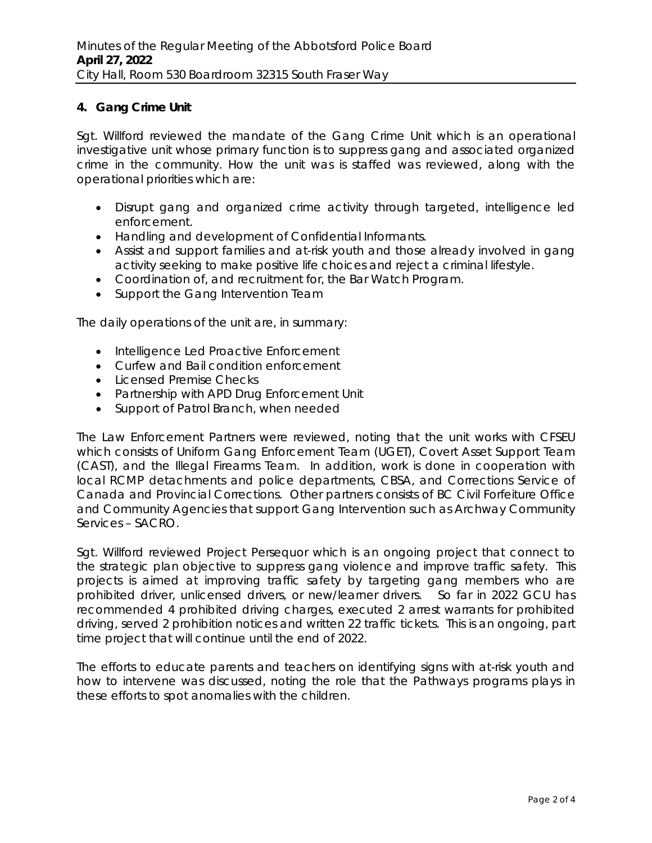# **4. Gang Crime Unit**

Sgt. Willford reviewed the mandate of the Gang Crime Unit which is an operational investigative unit whose primary function is to suppress gang and associated organized crime in the community. How the unit was is staffed was reviewed, along with the operational priorities which are:

- Disrupt gang and organized crime activity through targeted, intelligence led enforcement.
- Handling and development of Confidential Informants.
- Assist and support families and at-risk youth and those already involved in gang activity seeking to make positive life choices and reject a criminal lifestyle.
- Coordination of, and recruitment for, the Bar Watch Program.
- Support the Gang Intervention Team

The daily operations of the unit are, in summary:

- Intelligence Led Proactive Enforcement
- Curfew and Bail condition enforcement
- Licensed Premise Checks
- Partnership with APD Drug Enforcement Unit
- Support of Patrol Branch, when needed

The Law Enforcement Partners were reviewed, noting that the unit works with CFSEU which consists of Uniform Gang Enforcement Team (UGET), Covert Asset Support Team (CAST), and the Illegal Firearms Team. In addition, work is done in cooperation with local RCMP detachments and police departments, CBSA, and Corrections Service of Canada and Provincial Corrections. Other partners consists of BC Civil Forfeiture Office and Community Agencies that support Gang Intervention such as Archway Community Services – SACRO.

Sgt. Willford reviewed Project Persequor which is an ongoing project that connect to the strategic plan objective to suppress gang violence and improve traffic safety. This projects is aimed at improving traffic safety by targeting gang members who are prohibited driver, unlicensed drivers, or new/learner drivers. So far in 2022 GCU has recommended 4 prohibited driving charges, executed 2 arrest warrants for prohibited driving, served 2 prohibition notices and written 22 traffic tickets. This is an ongoing, part time project that will continue until the end of 2022.

The efforts to educate parents and teachers on identifying signs with at-risk youth and how to intervene was discussed, noting the role that the Pathways programs plays in these efforts to spot anomalies with the children.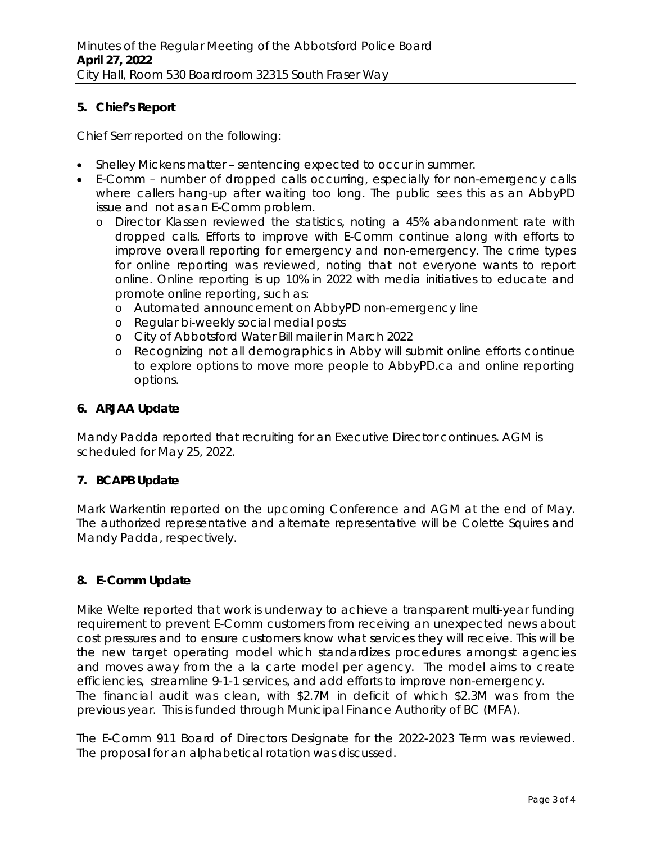# **5. Chief's Report**

Chief Serr reported on the following:

- Shelley Mickens matter sentencing expected to occur in summer.
- E-Comm number of dropped calls occurring, especially for non-emergency calls where callers hang-up after waiting too long. The public sees this as an AbbyPD issue and not as an E-Comm problem.
	- o Director Klassen reviewed the statistics, noting a 45% abandonment rate with dropped calls. Efforts to improve with E-Comm continue along with efforts to improve overall reporting for emergency and non-emergency. The crime types for online reporting was reviewed, noting that not everyone wants to report online. Online reporting is up 10% in 2022 with media initiatives to educate and promote online reporting, such as:
		- o Automated announcement on AbbyPD non-emergency line
		- o Regular bi-weekly social medial posts
		- o City of Abbotsford Water Bill mailer in March 2022
		- o Recognizing not all demographics in Abby will submit online efforts continue to explore options to move more people to AbbyPD.ca and online reporting options.

## **6. ARJAA Update**

Mandy Padda reported that recruiting for an Executive Director continues. AGM is scheduled for May 25, 2022.

## **7. BCAPB Update**

Mark Warkentin reported on the upcoming Conference and AGM at the end of May. The authorized representative and alternate representative will be Colette Squires and Mandy Padda, respectively.

## **8. E-Comm Update**

Mike Welte reported that work is underway to achieve a transparent multi-year funding requirement to prevent E-Comm customers from receiving an unexpected news about cost pressures and to ensure customers know what services they will receive. This will be the new target operating model which standardizes procedures amongst agencies and moves away from the a la carte model per agency. The model aims to create efficiencies, streamline 9-1-1 services, and add efforts to improve non-emergency. The financial audit was clean, with \$2.7M in deficit of which \$2.3M was from the previous year. This is funded through Municipal Finance Authority of BC (MFA).

The E-Comm 911 Board of Directors Designate for the 2022-2023 Term was reviewed. The proposal for an alphabetical rotation was discussed.